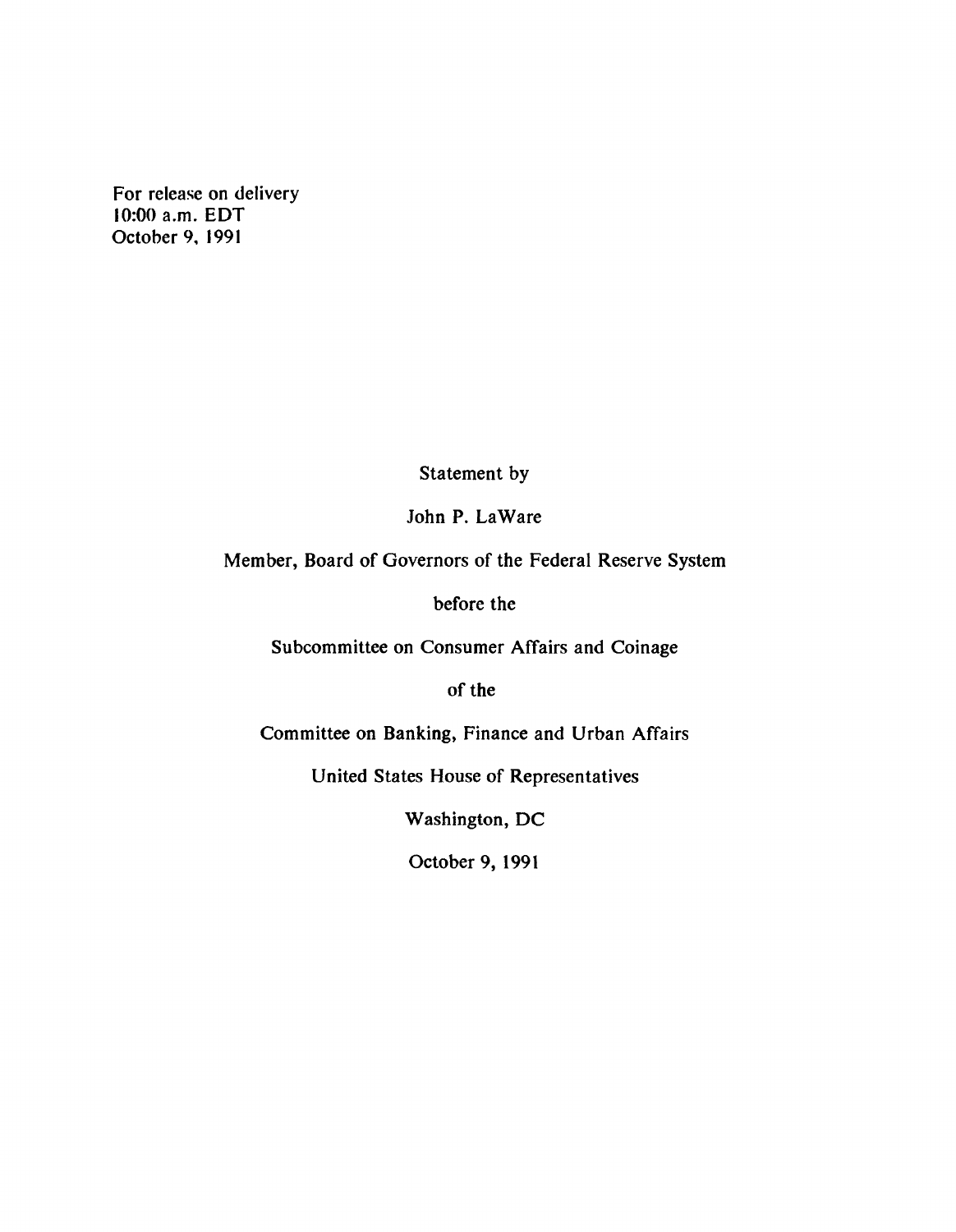**For release on delivery 10:00 a.m. EDT October 9, 1991**

**Statement by**

**John P. LaWare**

**Member, Board of Governors of the Federal Reserve System**

**before the**

**Subcommittee on Consumer Affairs and Coinage**

**of the**

**Committee on Banking, Finance and Urban Affairs**

**United States House of Representatives**

**Washington, DC**

**October 9, 1991**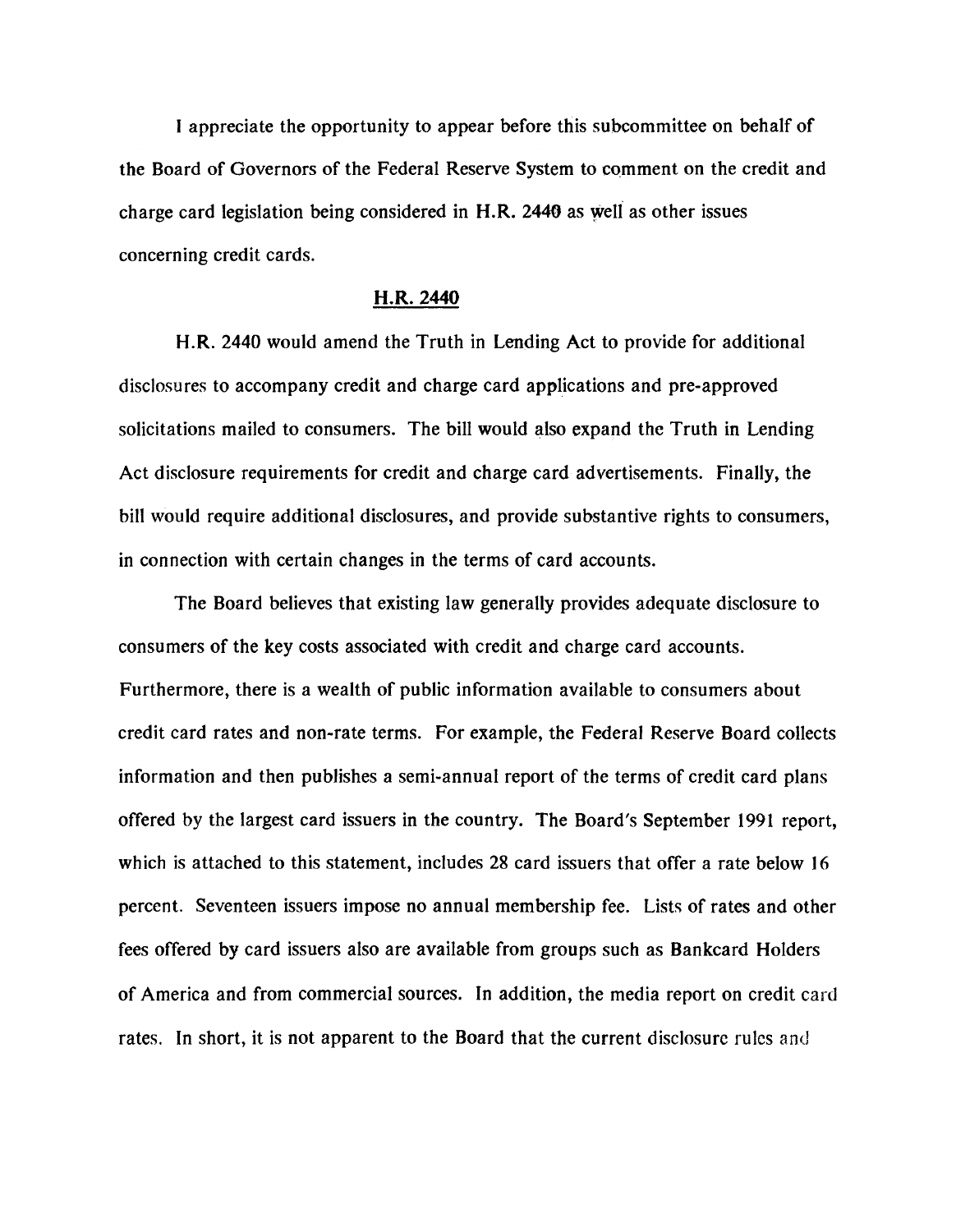**I appreciate the opportunity to appear before this subcommittee on behalf of the Board of Governors of the Federal Reserve System to comment on the credit and charge card legislation being considered in H.R. 2440 as well as other issues concerning credit cards.**

#### **H.R. 2440**

**H.R. 2440 would amend the Truth in Lending Act to provide for additional disclosures to accompany credit and charge card applications and pre-approved solicitations mailed to consumers. The bill would also expand the Truth in Lending Act disclosure requirements for credit and charge card advertisements. Finally, the bill would require additional disclosures, and provide substantive rights to consumers, in connection with certain changes in the terms of card accounts.**

**The Board believes that existing law generally provides adequate disclosure to consumers of the key costs associated with credit and charge card accounts. Furthermore, there is a wealth of public information available to consumers about credit card rates and non-rate terms. For example, the Federal Reserve Board collects information and then publishes a semi-annual report of the terms of credit card plans offered by the largest card issuers in the country. The Board's September 1991 report, which is attached to this statement, includes 28 card issuers that offer a rate below 16 percent. Seventeen issuers impose no annual membership fee. Lists of rates and other fees offered by card issuers also are available from groups such as Bankcard Holders of America and from commercial sources. In addition, the media report on credit card rates. In short, it is not apparent to the Board that the current disclosure rules** and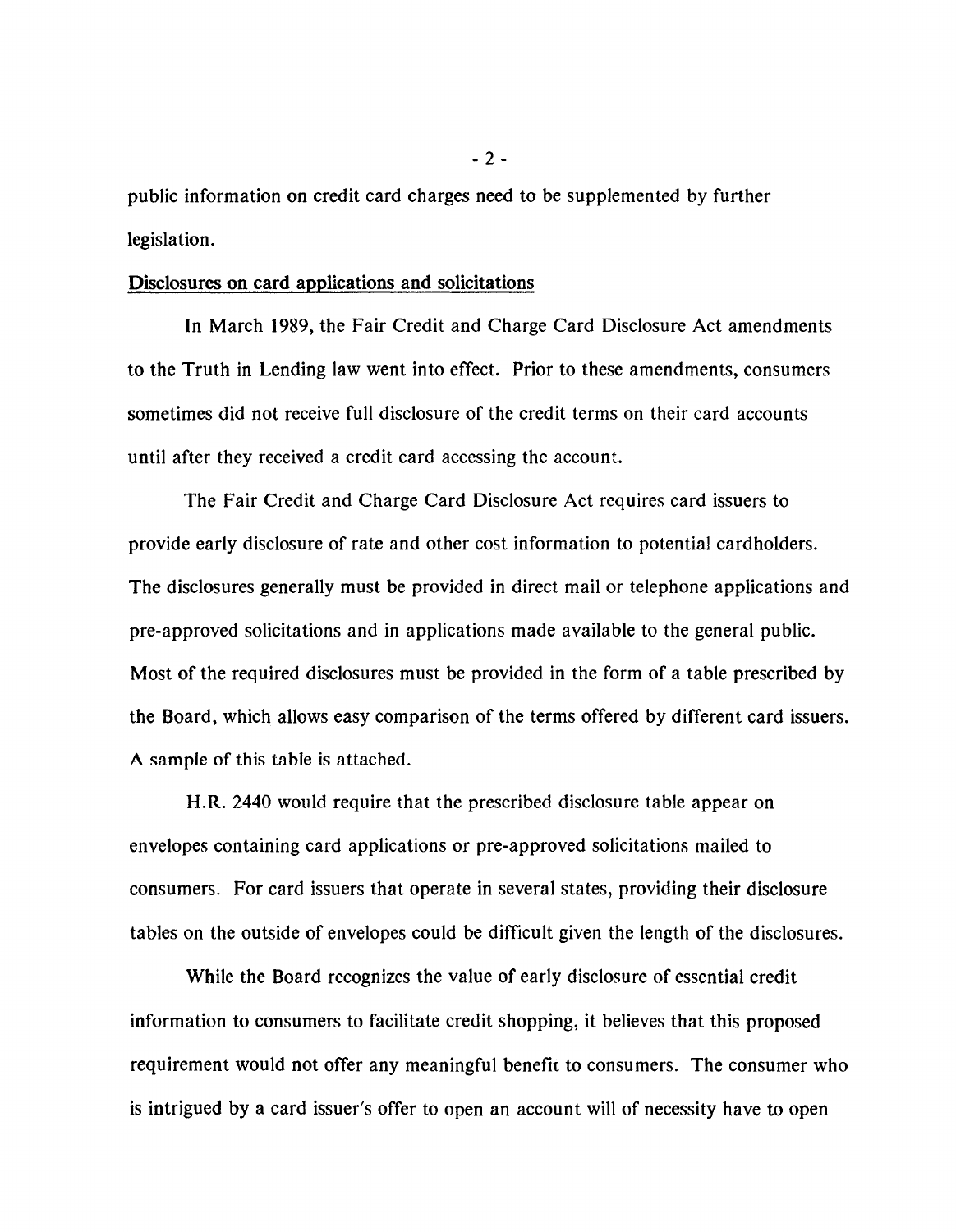**public information on credit card charges need to be supplemented by further legislation.**

### Disclosures on card applications and solicitations

**In March 1989, the Fair Credit and Charge Card Disclosure Act amendments to the Truth in Lending law went into effect. Prior to these amendments, consumers sometimes did not receive full disclosure of the credit terms on their card accounts until after they received a credit card accessing the account.**

**The Fair Credit and Charge Card Disclosure Act requires card issuers to provide early disclosure of rate and other cost information to potential cardholders. The disclosures generally must be provided in direct mail or telephone applications and pre-approved solicitations and in applications made available to the general public. Most of the required disclosures must be provided in the form of a table prescribed by the Board, which allows easy comparison of the terms offered by different card issuers. A sample of this table is attached.**

**H.R. 2440 would require that the prescribed disclosure table appear on envelopes containing card applications or pre-approved solicitations mailed to consumers. For card issuers that operate in several states, providing their disclosure tables on the outside of envelopes could be difficult given the length of the disclosures.**

**While the Board recognizes the value of early disclosure of essential credit information to consumers to facilitate credit shopping, it believes that this proposed requirement would not offer any meaningful benefii to consumers. The consumer who is intrigued by a card issuer's offer to open an account will of necessity have to open**

**- 2-**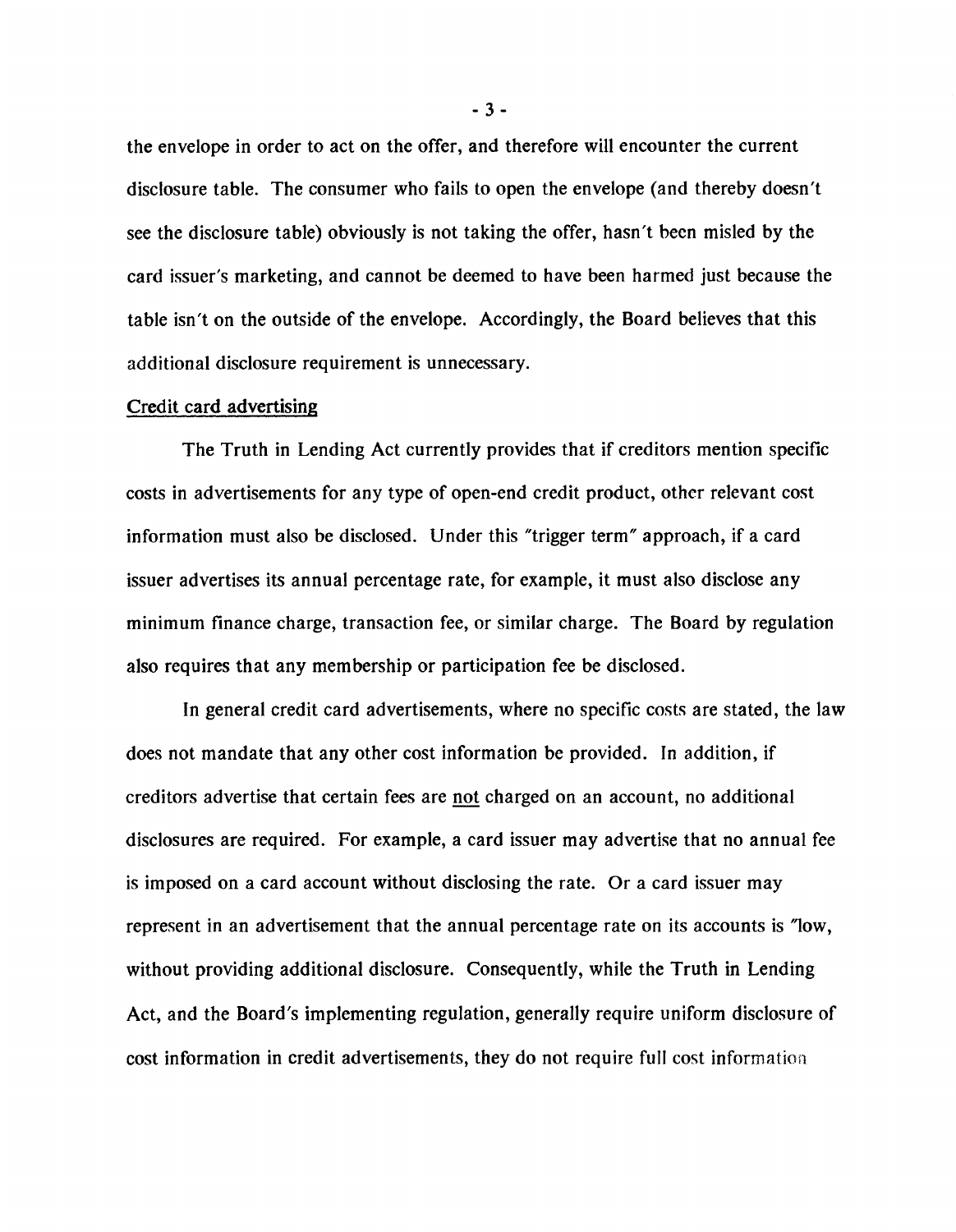**the envelope in order to act on the offer, and therefore will encounter the current disclosure table. The consumer who fails to open the envelope (and thereby doesn't see the disclosure table) obviously is not taking the offer, hasn't been misled by the card issuer's marketing, and cannot be deemed to have been harmed just because the table isn't on the outside of the envelope. Accordingly, the Board believes that this additional disclosure requirement is unnecessary.**

### **Credit card advertising**

**The Truth in Lending Act currently provides that if creditors mention specific costs in advertisements for any type of open-end credit product, other relevant cost information must also be disclosed. Under this "trigger term" approach, if a card issuer advertises its annual percentage rate, for example, it must also disclose any minimum finance charge, transaction fee, or similar charge. The Board by regulation also requires that any membership or participation fee be disclosed.**

**In general credit card advertisements, where no specific costs are stated, the law does not mandate that any other cost information be provided. In addition, if creditors advertise that certain fees are not charged on an account, no additional disclosures are required. For example, a card issuer may advertise that no annual fee is imposed on a card account without disclosing the rate. Or a card issuer may represent in an advertisement that the annual percentage rate on its accounts is "low, without providing additional disclosure. Consequently, while the Truth in Lending Act, and the Board's implementing regulation, generally require uniform disclosure of cost information in credit advertisements, they do not require full cost information**

**- 3 -**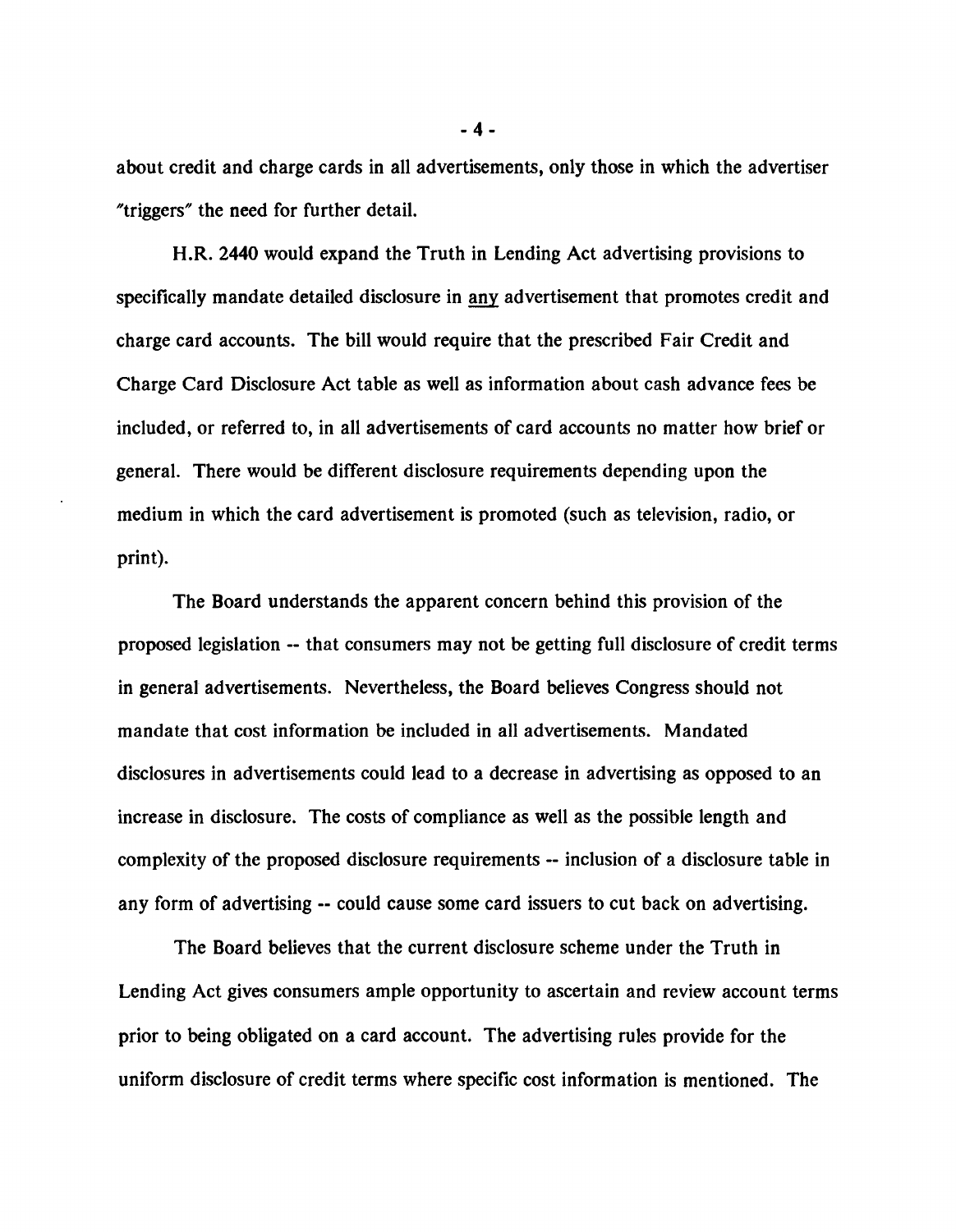**about credit and charge cards in all advertisements, only those in which the advertiser "triggers" the need for further detail.**

**H.R. 2440 would expand the Truth in Lending Act advertising provisions to specifically mandate detailed disclosure in any advertisement that promotes credit and charge card accounts. The bill would require that the prescribed Fair Credit and Charge Card Disclosure Act table as well as information about cash advance fees be included, or referred to, in all advertisements of card accounts no matter how brief or general. There would be different disclosure requirements depending upon the medium in which the card advertisement is promoted (such as television, radio, or print).**

**The Board understands the apparent concern behind this provision of the proposed legislation — that consumers may not be getting full disclosure of credit terms in general advertisements. Nevertheless, the Board believes Congress should not mandate that cost information be included in all advertisements. Mandated disclosures in advertisements could lead to a decrease in advertising as opposed to an increase in disclosure. The costs of compliance as well as the possible length and complexity of the proposed disclosure requirements — inclusion of a disclosure table in** any form of advertising -- could cause some card issuers to cut back on advertising.

**The Board believes that the current disclosure scheme under the Truth in Lending Act gives consumers ample opportunity to ascertain and review account terms prior to being obligated on a card account. The advertising rules provide for the uniform disclosure of credit terms where specific cost information is mentioned. The**

**- 4 -**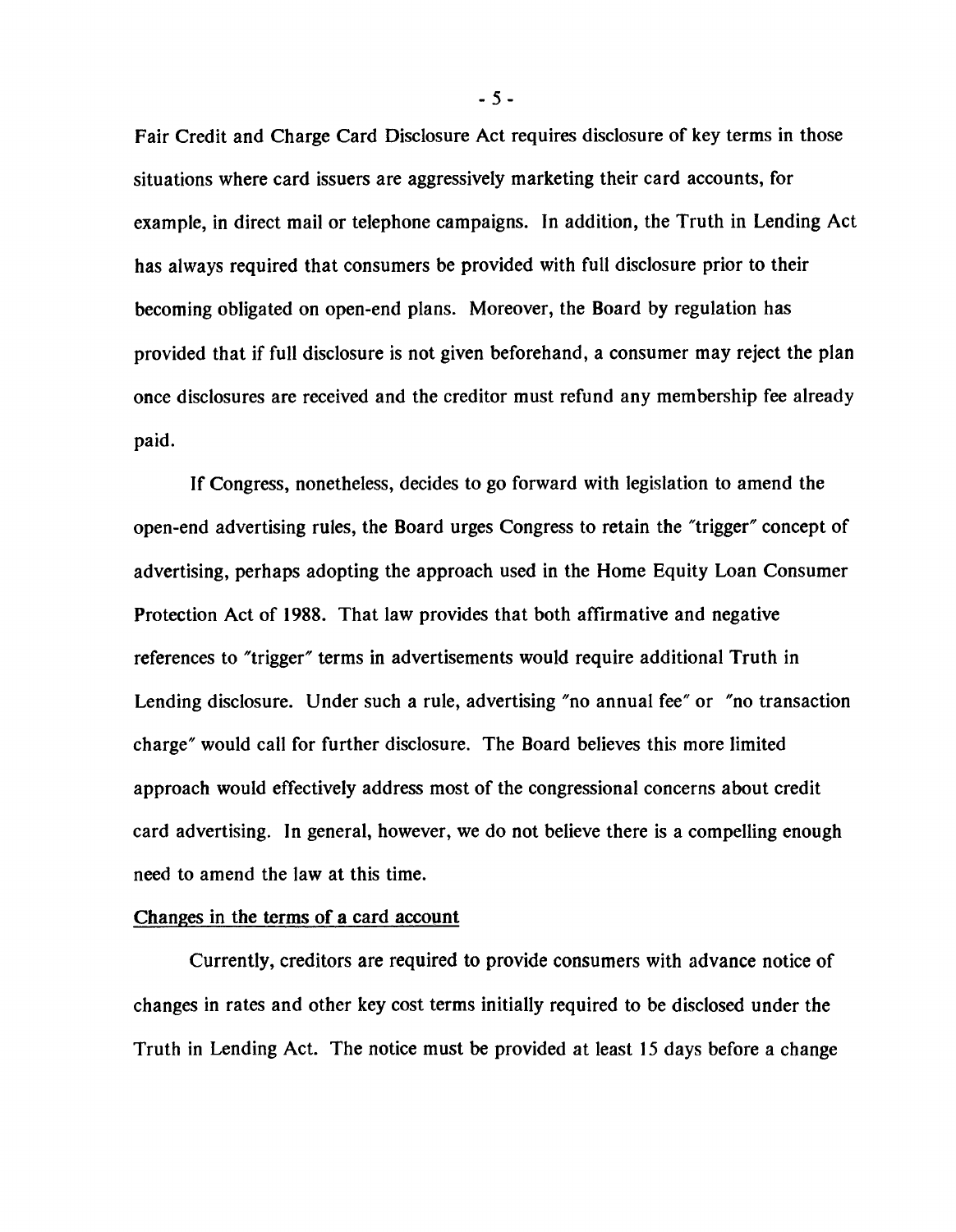**Fair Credit and Charge Card Disclosure Act requires disclosure of key terms in those situations where card issuers are aggressively marketing their card accounts, for example, in direct mail or telephone campaigns. In addition, the Truth in Lending Act has always required that consumers be provided with full disclosure prior to their becoming obligated on open-end plans. Moreover, the Board by regulation has provided that if full disclosure is not given beforehand, a consumer may reject the plan once disclosures are received and the creditor must refund any membership fee already paid.**

**If Congress, nonetheless, decides to go forward with legislation to amend the open-end advertising rules, the Board urges Congress to retain the "trigger" concept of advertising, perhaps adopting the approach used in the Home Equity Loan Consumer Protection Act of 1988. That law provides that both affirmative and negative references to "trigger" terms in advertisements would require additional Truth in Lending disclosure. Under such a rule, advertising "no annual fee" or "no transaction charge" would call for further disclosure. The Board believes this more limited approach would effectively address most of the congressional concerns about credit card advertising. In general, however, we do not believe there is a compelling enough need to amend the law at this time.**

### Changes in the terms of a card account

**Currently, creditors are required to provide consumers with advance notice of changes in rates and other key cost terms initially required to be disclosed under the Truth in Lending Act. The notice must be provided at least 15 days before a change**

**- 5 -**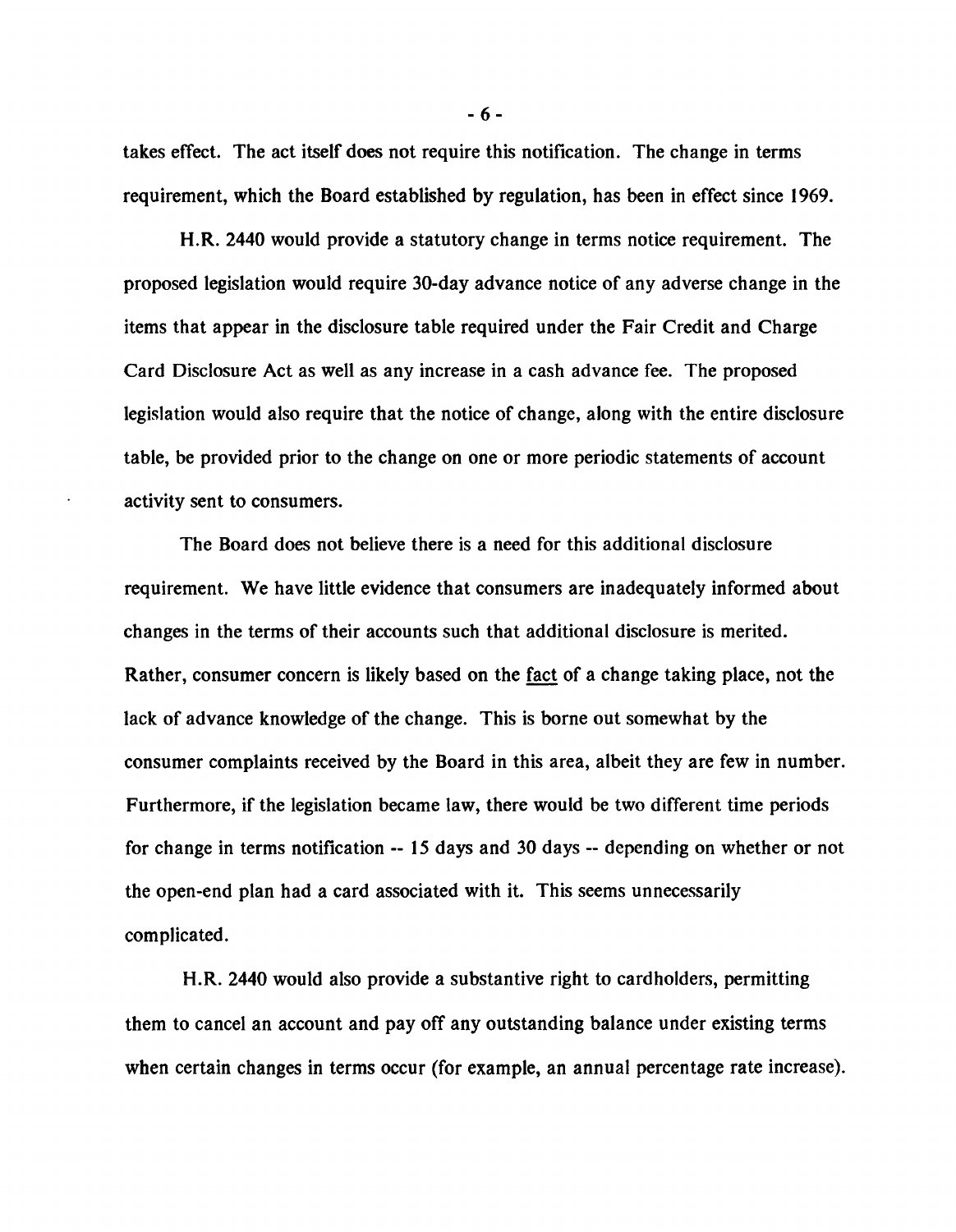**takes effect. The act itself does not require this notification. The change in terms requirement, which the Board established by regulation, has been in effect since 1969.**

**H.R. 2440 would provide a statutory change in terms notice requirement. The proposed legislation would require 30-day advance notice of any adverse change in the items that appear in the disclosure table required under the Fair Credit and Charge Card Disclosure Act as well as any increase in a cash advance fee. The proposed legislation would also require that the notice of change, along with the entire disclosure table, be provided prior to the change on one or more periodic statements of account activity sent to consumers.**

**The Board does not believe there is a need for this additional disclosure requirement. We have little evidence that consumers are inadequately informed about changes in the terms of their accounts such that additional disclosure is merited. Rather, consumer concern is likely based on the fact of a change taking place, not the lack of advance knowledge of the change. This is borne out somewhat by the consumer complaints received by the Board in this area, albeit they are few in number. Furthermore, if the legislation became law, there would be two different time periods for change in terms notification -- 15 days and 30 days -- depending on whether or not the open-end plan had a card associated with it. This seems unnecessarily complicated.**

**H.R. 2440 would also provide a substantive right to cardholders, permitting them to cancel an account and pay off any outstanding balance under existing terms when certain changes in terms occur (for example, an annual percentage rate increase).**

**- 6-**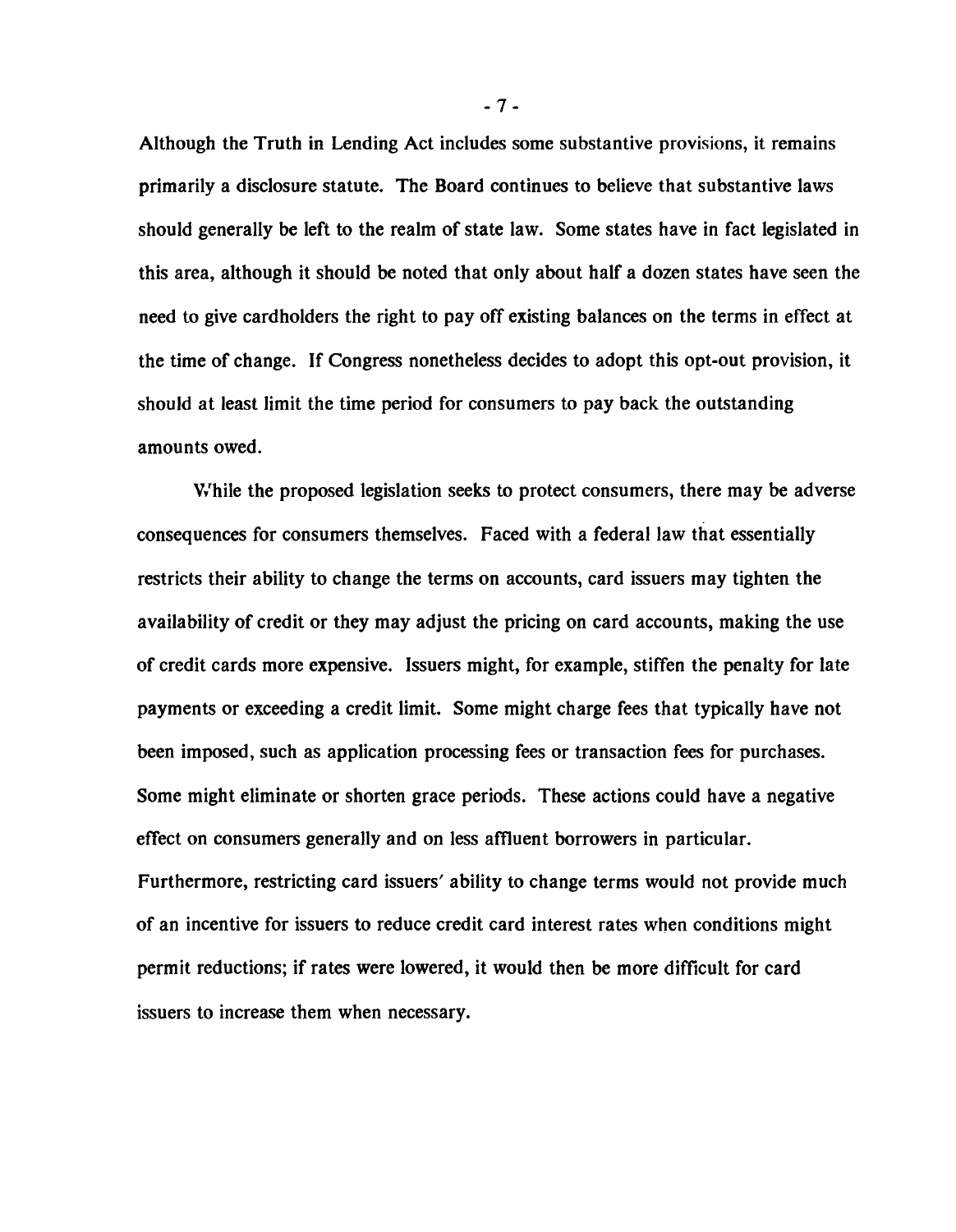**Although the Truth in Lending Act includes some substantive provisions, it remains primarily a disclosure statute. The Board continues to believe that substantive laws should generally be left to the realm of state law. Some states have in fact legislated in this area, although it should be noted that only about half a dozen states have seen the need to give cardholders the right to pay off existing balances on the terms in effect at the time of change. If Congress nonetheless decides to adopt this opt-out provision, it should at least limit the time period for consumers to pay back the outstanding amounts owed.**

**While the proposed legislation seeks to protect consumers, there may be adverse consequences for consumers themselves. Faced with a federal law that essentially restricts their ability to change the terms on accounts, card issuers may tighten the availability of credit or they may adjust the pricing on card accounts, making the use of credit cards more expensive. Issuers might, for example, stiffen the penalty for late payments or exceeding a credit limit. Some might charge fees that typically have not been imposed, such as application processing fees or transaction fees for purchases. Some might eliminate or shorten grace periods. These actions could have a negative effect on consumers generally and on less affluent borrowers in particular. Furthermore, restricting card issuers' ability to change terms would not provide much of an incentive for issuers to reduce credit card interest rates when conditions might permit reductions; if rates were lowered, it would then be more difficult for card issuers to increase them when necessary.**

**- 7 -**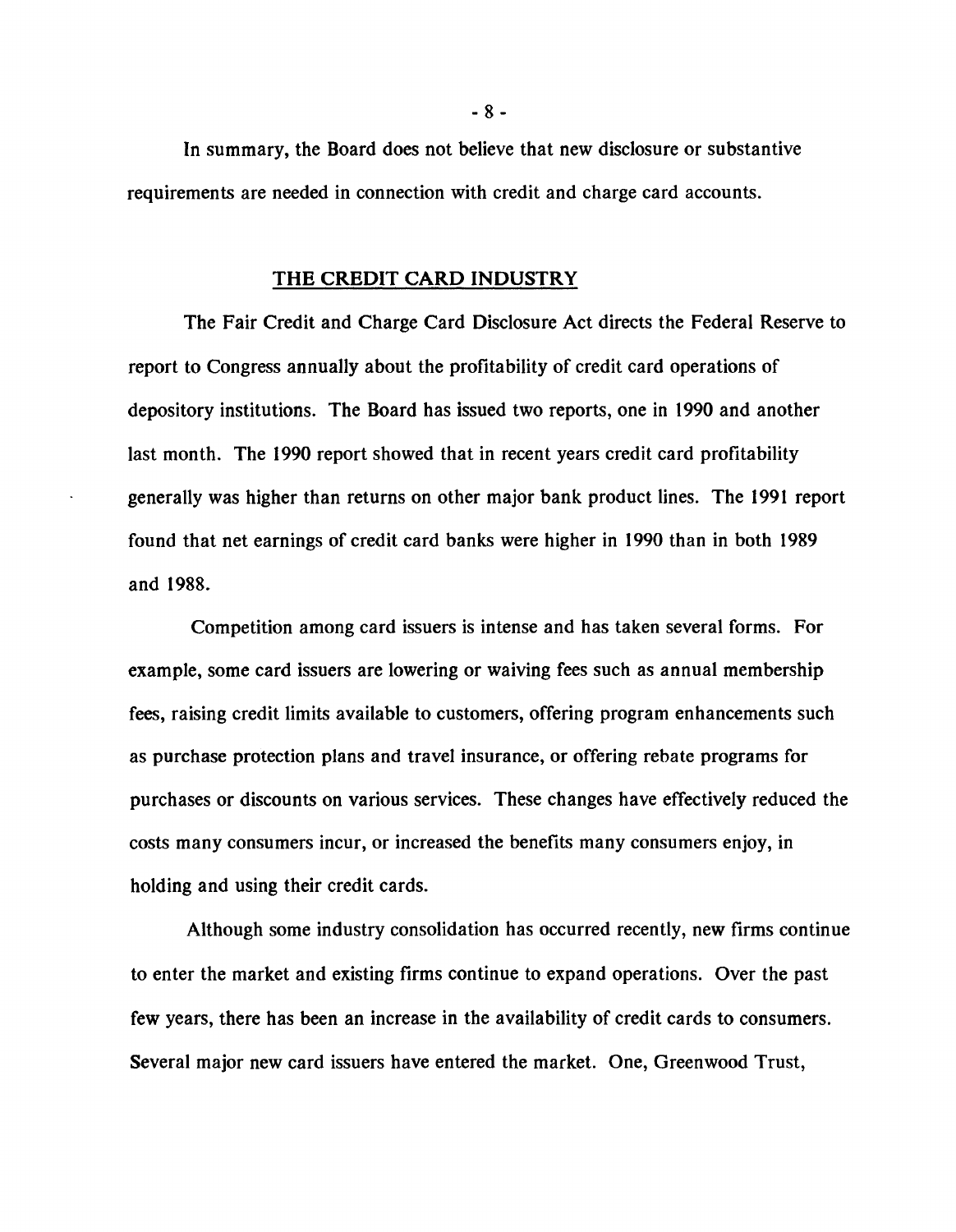**In summary, the Board does not believe that new disclosure or substantive requirements are needed in connection with credit and charge card accounts.**

### **THE CREDIT CARD INDUSTRY**

**The Fair Credit and Charge Card Disclosure Act directs the Federal Reserve to report to Congress annually about the profitability of credit card operations of depository institutions. The Board has issued two reports, one in 1990 and another last month. The 1990 report showed that in recent years credit card profitability generally was higher than returns on other major bank product lines. The 1991 report found that net earnings of credit card banks were higher in 1990 than in both 1989 and 1988.**

**Competition among card issuers is intense and has taken several forms. For example, some card issuers are lowering or waiving fees such as annual membership fees, raising credit limits available to customers, offering program enhancements such as purchase protection plans and travel insurance, or offering rebate programs for purchases or discounts on various services. These changes have effectively reduced the costs many consumers incur, or increased the benefits many consumers enjoy, in holding and using their credit cards.**

**Although some industry consolidation has occurred recently, new firms continue to enter the market and existing firms continue to expand operations. Over the past few years, there has been an increase in the availability of credit cards to consumers. Several major new card issuers have entered the market. One, Greenwood Trust,**

**- 8 -**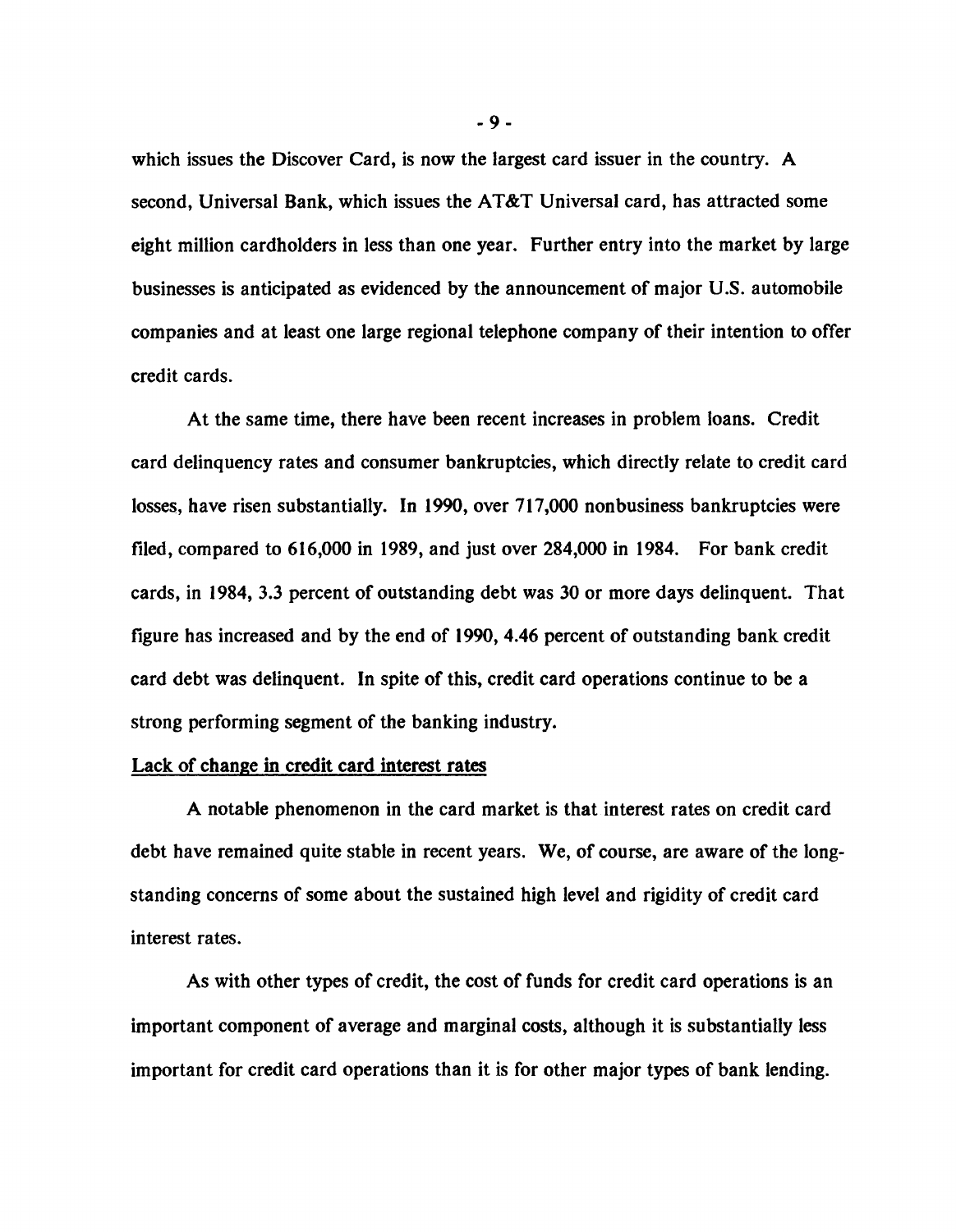**which issues the Discover Card, is now the largest card issuer in the country. A second, Universal Bank, which issues the AT&T Universal card, has attracted some eight million cardholders in less than one year. Further entry into the market by large businesses is anticipated as evidenced by the announcement of major U.S. automobile companies and at least one large regional telephone company of their intention to offer credit cards.**

**At the same time, there have been recent increases in problem loans. Credit card delinquency rates and consumer bankruptcies, which directly relate to credit card losses, have risen substantially. In 1990, over 717,000 nonbusiness bankruptcies were filed, compared to 616,000 in 1989, and just over 284,000 in 1984. For bank credit cards, in 1984, 3.3 percent of outstanding debt was 30 or more days delinquent. That figure has increased and by the end of 1990, 4.46 percent of outstanding bank credit card debt was delinquent. In spite of this, credit card operations continue to be a strong performing segment of the banking industry.**

## **Lack of change in credit card interest rates**

**A notable phenomenon in the card market is that interest rates on credit card debt have remained quite stable in recent years. We, of course, are aware of the longstanding concerns of some about the sustained high level and rigidity of credit card interest rates.**

**As with other types of credit, the cost of funds for credit card operations is an important component of average and marginal costs, although it is substantially less important for credit card operations than it is for other major types of bank lending.**

**- 9 -**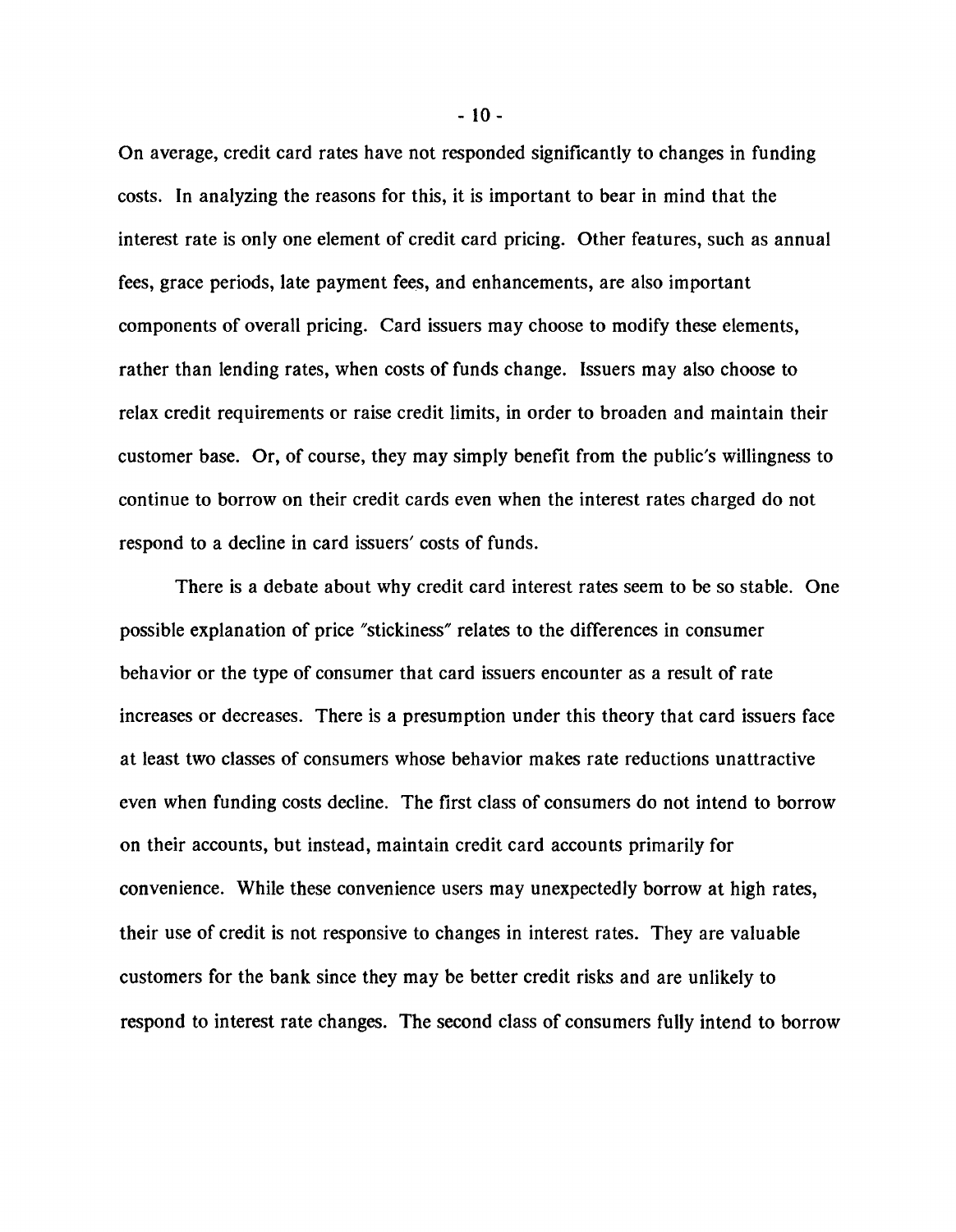**On average, credit card rates have not responded significantly to changes in funding costs. In analyzing the reasons for this, it is important to bear in mind that the interest rate is only one element of credit card pricing. Other features, such as annual fees, grace periods, late payment fees, and enhancements, are also important components of overall pricing. Card issuers may choose to modify these elements, rather than lending rates, when costs of funds change. Issuers may also choose to relax credit requirements or raise credit limits, in order to broaden and maintain their customer base. Or, of course, they may simply benefit from the public's willingness to continue to borrow on their credit cards even when the interest rates charged do not respond to a decline in card issuers' costs of funds.**

**There is a debate about why credit card interest rates seem to be so stable. One possible explanation of price "stickiness" relates to the differences in consumer behavior or the type of consumer that card issuers encounter as a result of rate increases or decreases. There is a presumption under this theory that card issuers face at least two classes of consumers whose behavior makes rate reductions unattractive even when funding costs decline. The first class of consumers do not intend to borrow on their accounts, but instead, maintain credit card accounts primarily for convenience. While these convenience users may unexpectedly borrow at high rates, their use of credit is not responsive to changes in interest rates. They are valuable customers for the bank since they may be better credit risks and are unlikely to respond to interest rate changes. The second class of consumers fully intend to borrow**

**- 10-**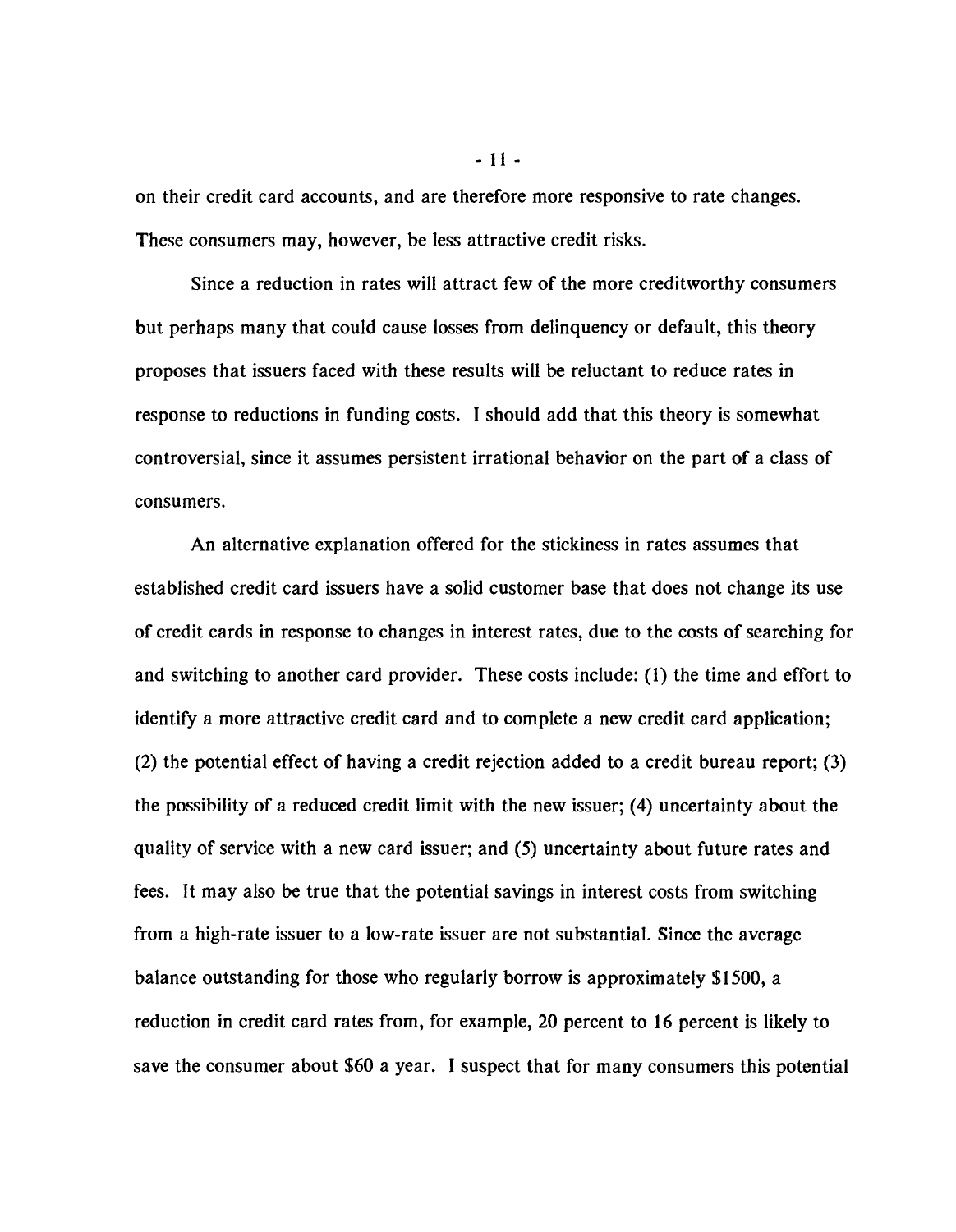**on their credit card accounts, and are therefore more responsive to rate changes. These consumers may, however, be less attractive credit risks.**

**Since a reduction in rates will attract few of the more creditworthy consumers but perhaps many that could cause losses from delinquency or default, this theory proposes that issuers faced with these results will be reluctant to reduce rates in response to reductions in funding costs. I should add that this theory is somewhat controversial, since it assumes persistent irrational behavior on the part of a class of consumers.**

**An alternative explanation offered for the stickiness in rates assumes that established credit card issuers have a solid customer base that does not change its use of credit cards in response to changes in interest rates, due to the costs of searching for and switching to another card provider. These costs include: (1) the time and effort to identify a more attractive credit card and to complete a new credit card application; (2) the potential effect of having a credit rejection added to a credit bureau report; (3) the possibility of a reduced credit limit with the new issuer; (4) uncertainty about the quality of service with a new card issuer; and (5) uncertainty about future rates and fees. It may also be true that the potential savings in interest costs from switching from a high-rate issuer to a low-rate issuer are not substantial. Since the average balance outstanding for those who regularly borrow is approximately \$1500, a reduction in credit card rates from, for example, 20 percent to 16 percent is likely to save the consumer about \$60 a year. I suspect that for many consumers this potential**

**-11 -**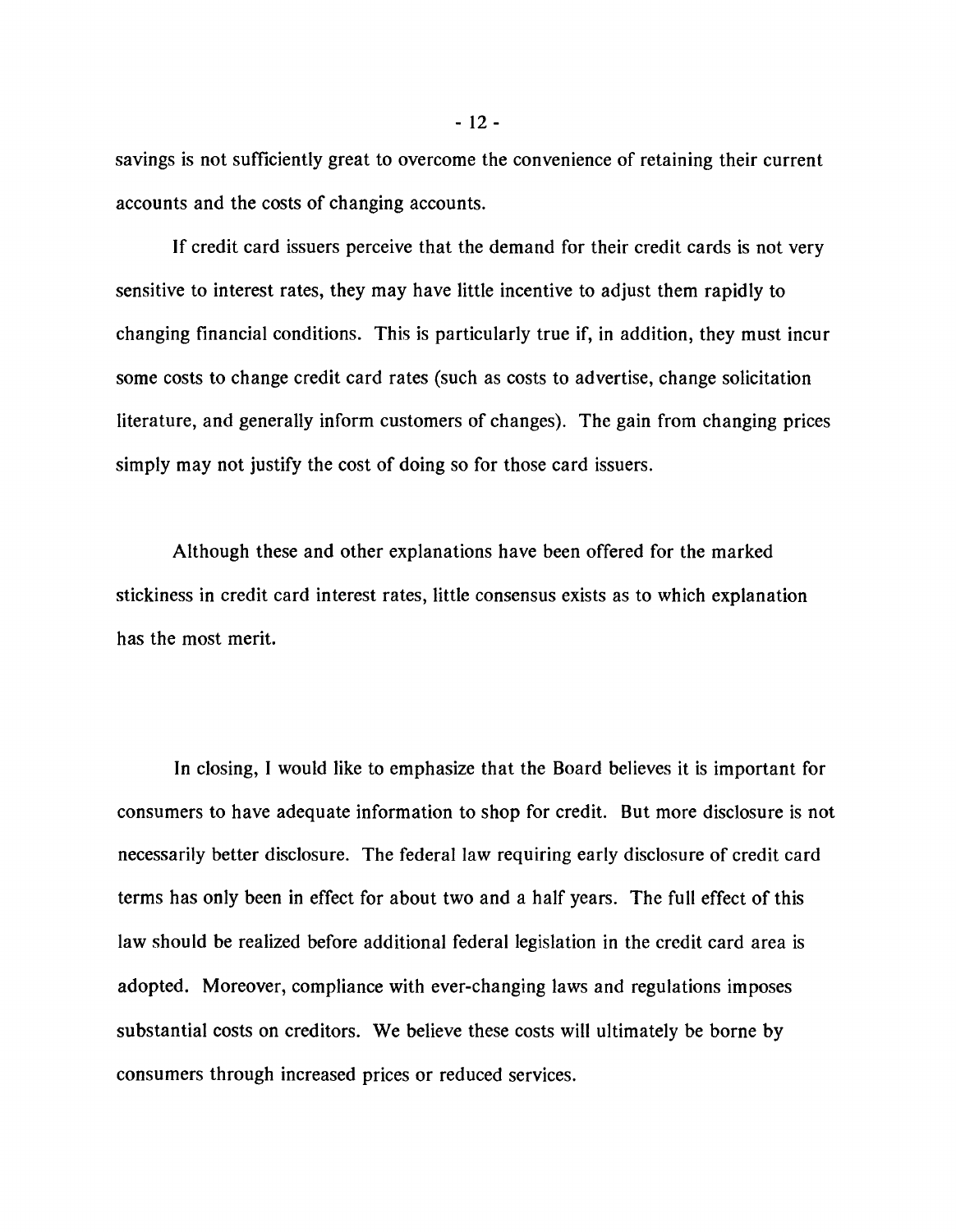**savings is not sufficiently great to overcome the convenience of retaining their current accounts and the costs of changing accounts.**

**If credit card issuers perceive that the demand for their credit cards is not very sensitive to interest rates, they may have little incentive to adjust them rapidly to changing financial conditions. This is particularly true if, in addition, they must incur some costs to change credit card rates (such as costs to advertise, change solicitation literature, and generally inform customers of changes). The gain from changing prices simply may not justify the cost of doing so for those card issuers.**

**Although these and other explanations have been offered for the marked stickiness in credit card interest rates, little consensus exists as to which explanation has the most merit.**

**In closing, I would like to emphasize that the Board believes it is important for consumers to have adequate information to shop for credit. But more disclosure is not necessarily better disclosure. The federal law requiring early disclosure of credit card terms has only been in effect for about two and a half years. The full effect of this law should be realized before additional federal legislation in the credit card area is adopted. Moreover, compliance with ever-changing laws and regulations imposes substantial costs on creditors. We believe these costs will ultimately be borne by consumers through increased prices or reduced services.**